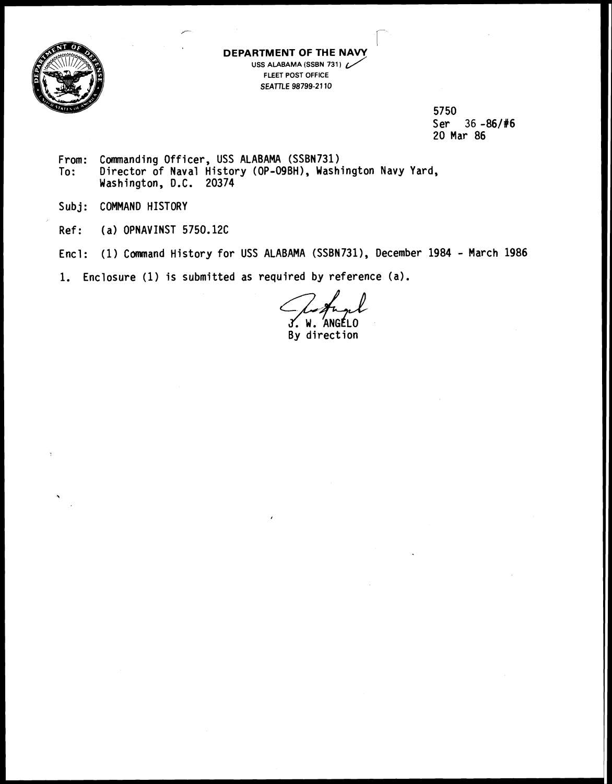

**DEPARTMENT OF THE NAVY RTMENT OF THE NAVY**<br>USS ALABAMA (SSBN 731) FLEET POST OFFICE **SEATTLE 98799-21 10** 

> 5750 Ser 36 -86/#6 20 Mar 86

From: Commanding Officer, USS ALABAMA (SSBN731)<br>To: Director of Naval History (OP-O9BH), Wash Director of Naval History (OP-09BH), Washington Navy Yard, Washington, D.C. 20374

Subj: COMMAND HISTORY

Ref: (a) OPNAVINST 5750.12C

Encl: (1) Command History for USS ALABAMA (SSBN731), December 1984 - March 1986

1. Enclosure (1) is submitted as required by reference (a).

W. By direction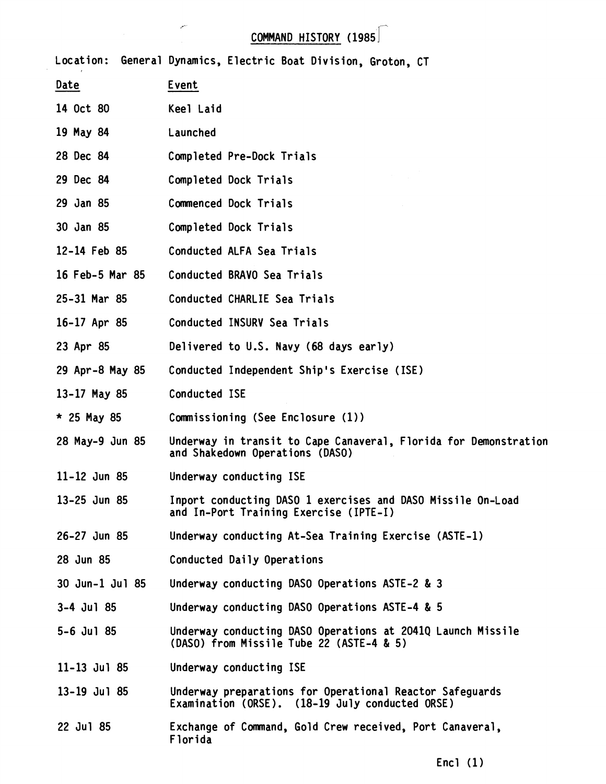## COMMAND HISTORY (1985 ]-

.r-

Location: General Dynamics, Electric Boat Division, Groton, CT Date Event 14 Oct 80 Keel Laid 19 May 84 Launched 28 Dec 84 Completed Pre-Dock Trials 29 Dec 84 Completed Dock Trials 29 Jan 85 Commenced Dock Trials 30 Jan 85 Completed Dock Trials 12-14 Feb 85 Conducted ALFA Sea Trials 16 Feb-5 Mar 85 Conducted BRAVO Sea Trials 25-31 Mar 85 Conducted CHARLIE Sea Trials 16-17 Apr 85 Conducted INSURV Sea Trials 23 Apr 85 Delivered to U.S. Navy (68 days early) Conducted Independent Ship's Exercise (ISE) 29 Apr-8 May 85 13-17 May 85 Conducted ISE \* 25 May 85 Commissioning (See Enclosure (1)) 28 May-9 Jun 85 Underway in transit to Cape Canaveral, Florida for Demonstration and Shakedown Operations (DASO) 11-12 Jun 85 Underway conducting ISE Inport conducting DASO 1 exercises and DASO Missile On-Load 13-25 Jun 85 and In-Port Training Exercise (IPTE-I) Underway conducting At-Sea Training Exercise (ASTE-1) 26-27 Jun 85 28 Jun 85 Conducted Daily Operations 30 Jun-1 Jul 85 Underway conducting DASO Operations ASTE-2 & 3 3-4 Jul 85 Underway conducting DASO Operations ASTE-4 & 5 5-6 Jul 85 Underway conducting DASO Operations at 2041Q Launch Missile (DASO) from Missile Tube 22 (ASTE-4 & 5)  $11 - 13$  Jul 85 Underway conducting ISE 13-19 Jul 85 Underway preparations for Operational Reactor Safeguards Examination (ORSE). (18-19 July conducted ORSE) 22 Jul 85 Exchange of Command, Gold Crew received, Port Canaveral, Florida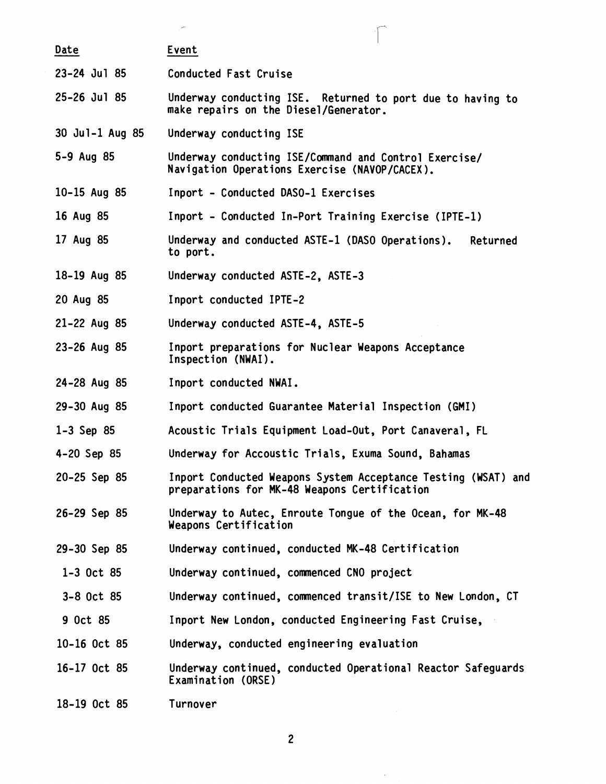|                  | المستور                                                                                                       |          |
|------------------|---------------------------------------------------------------------------------------------------------------|----------|
| Date             | Event                                                                                                         |          |
| 23-24 Jul 85     | Conducted Fast Cruise                                                                                         |          |
| 25-26 Jul 85     | Underway conducting ISE. Returned to port due to having to<br>make repairs on the Diesel/Generator.           |          |
| 30 Jul-1 Aug 85  | Underway conducting ISE                                                                                       |          |
| 5-9 Aug 85       | Underway conducting ISE/Command and Control Exercise/<br>Navigation Operations Exercise (NAVOP/CACEX).        |          |
| 10-15 Aug 85     | Inport - Conducted DASO-1 Exercises                                                                           |          |
| 16 Aug 85        | Inport - Conducted In-Port Training Exercise (IPTE-1)                                                         |          |
| 17 Aug 85        | Underway and conducted ASTE-1 (DASO Operations).<br>to port.                                                  | Returned |
| 18-19 Aug 85     | Underway conducted ASTE-2, ASTE-3                                                                             |          |
| 20 Aug 85        | Inport conducted IPTE-2                                                                                       |          |
| 21-22 Aug 85     | Underway conducted ASTE-4, ASTE-5                                                                             |          |
| $23 - 26$ Aug 85 | Inport preparations for Nuclear Weapons Acceptance<br>Inspection (NWAI).                                      |          |
| 24-28 Aug 85     | Inport conducted NWAI.                                                                                        |          |
| 29-30 Aug 85     | Inport conducted Guarantee Material Inspection (GMI)                                                          |          |
| $1 - 3$ Sep 85   | Acoustic Trials Equipment Load-Out, Port Canaveral, FL                                                        |          |
| 4-20 Sep 85      | Underway for Accoustic Trials, Exuma Sound, Bahamas                                                           |          |
| 20-25 Sep 85     | Inport Conducted Weapons System Acceptance Testing (WSAT) and<br>preparations for MK-48 Weapons Certification |          |
| 26-29 Sep 85     | Underway to Autec, Enroute Tongue of the Ocean, for MK-48<br>Weapons Certification                            |          |
| 29-30 Sep 85     | Underway continued, conducted MK-48 Certification                                                             |          |
| $1 - 3$ Oct 85   | Underway continued, commenced CNO project                                                                     |          |
| 3-8 Oct 85       | Underway continued, commenced transit/ISE to New London, CT                                                   |          |
| 9 Oct 85         | Inport New London, conducted Engineering Fast Cruise,                                                         |          |
| 10-16 Oct 85     | Underway, conducted engineering evaluation                                                                    |          |
| 16-17 Oct 85     | Underway continued, conducted Operational Reactor Safeguards<br>Examination (ORSE)                            |          |
| 18-19 Oct 85     | Turnover                                                                                                      |          |

 $\hat{\mathcal{A}}$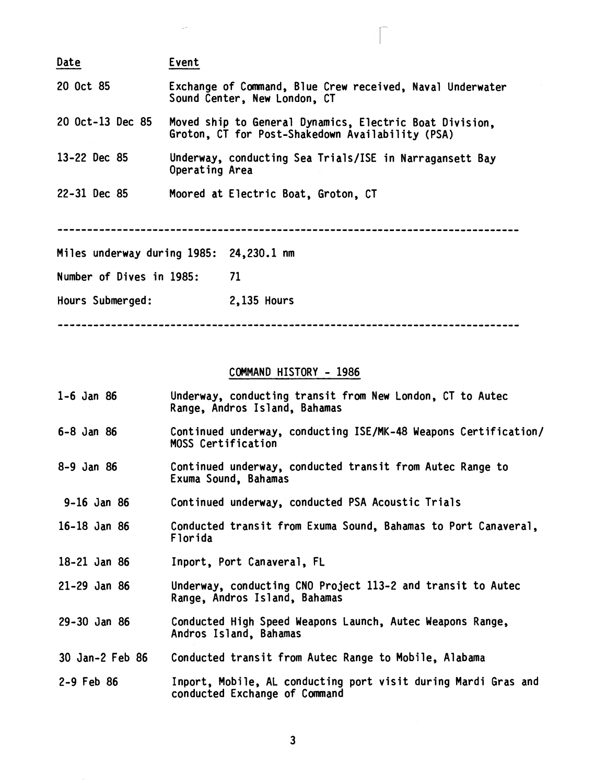| Date                     | Event                                   |                                                                                                             |
|--------------------------|-----------------------------------------|-------------------------------------------------------------------------------------------------------------|
| 20 Oct 85                | Sound Center, New London, CT            | Exchange of Command, Blue Crew received, Naval Underwater                                                   |
| 20 Oct-13 Dec 85         |                                         | Moved ship to General Dynamics, Electric Boat Division,<br>Groton, CT for Post-Shakedown Availability (PSA) |
| 13-22 Dec 85             | Operating Area                          | Underway, conducting Sea Trials/ISE in Narragansett Bay                                                     |
| 22-31 Dec 85             | Moored at Electric Boat, Groton, CT     |                                                                                                             |
|                          |                                         |                                                                                                             |
|                          | Miles underway during 1985: 24,230.1 nm |                                                                                                             |
| Number of Dives in 1985: | 71                                      |                                                                                                             |
| Hours Submerged:         | 2,135 Hours                             |                                                                                                             |

## COMMAND HISTORY - 1986

| $1 - 6$ Jan 86   | Underway, conducting transit from New London, CT to Autec<br>Range, Andros Island, Bahamas      |
|------------------|-------------------------------------------------------------------------------------------------|
| $6 - 8$ Jan 86   | Continued underway, conducting ISE/MK-48 Weapons Certification/<br><b>MOSS Certification</b>    |
| 8-9 Jan 86       | Continued underway, conducted transit from Autec Range to<br>Exuma Sound, Bahamas               |
| 9-16 Jan 86      | Continued underway, conducted PSA Acoustic Trials                                               |
| $16 - 18$ Jan 86 | Conducted transit from Exuma Sound, Bahamas to Port Canaveral,<br>Florida                       |
| 18-21 Jan 86     | Inport, Port Canaveral, FL                                                                      |
| $21 - 29$ Jan 86 | Underway, conducting CNO Project 113-2 and transit to Autec<br>Range, Andros Island, Bahamas    |
| $29 - 30$ Jan 86 | Conducted High Speed Weapons Launch, Autec Weapons Range,<br>Andros Island, Bahamas             |
| 30 Jan-2 Feb 86  | Conducted transit from Autec Range to Mobile, Alabama                                           |
| $2 - 9$ Feb 86   | Inport, Mobile, AL conducting port visit during Mardi Gras and<br>conducted Exchange of Command |